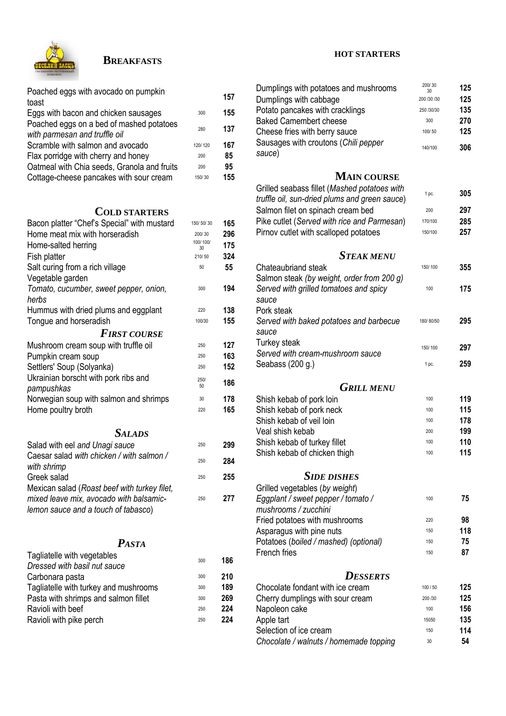

## **BREAKFASTS**

| Poached eggs with avocado on pumpkin<br>toast                             |                | 157        |
|---------------------------------------------------------------------------|----------------|------------|
| Eggs with bacon and chicken sausages                                      | 300            | 155        |
| Poached eggs on a bed of mashed potatoes<br>with parmesan and truffle oil | 280            | 137        |
| Scramble with salmon and avocado                                          | 120/120        | 167        |
| Flax porridge with cherry and honey                                       | 200            | 85         |
| Oatmeal with Chia seeds, Granola and fruits                               | 200            | 95         |
| Cottage-cheese pancakes with sour cream                                   | 150/30         | 155        |
|                                                                           |                |            |
| <b>COLD STARTERS</b>                                                      |                |            |
| Bacon platter "Chef's Special" with mustard                               | 150/50/30      | 165        |
| Home meat mix with horseradish                                            | 200/30         | 296        |
| Home-salted herring                                                       | 100/100/<br>30 | 175        |
| Fish platter                                                              | 210/50         | 324        |
| Salt curing from a rich village                                           | 50             | 55         |
| Vegetable garden                                                          |                |            |
| Tomato, cucumber, sweet pepper, onion,                                    | 300            | 194        |
| herbs                                                                     |                |            |
| Hummus with dried plums and eggplant                                      | 220            | 138        |
| Tongue and horseradish                                                    | 100/30         | 155        |
| <b>FIRST COURSE</b>                                                       |                |            |
| Mushroom cream soup with truffle oil                                      | 250            | 127        |
| Pumpkin cream soup                                                        | 250            | 163        |
| Settlers' Soup (Solyanka)                                                 | 250            | 152        |
| Ukrainian borscht with pork ribs and                                      | 250/<br>50     | 186        |
| pampushkas                                                                |                |            |
| Norwegian soup with salmon and shrimps                                    | 30             | 178<br>165 |
| Home poultry broth                                                        | 220            |            |
| <i>SALADS</i>                                                             |                |            |
| Salad with eel and Unagi sauce                                            | 250            | 299        |
| Caesar salad with chicken / with salmon /                                 | 250            | 284        |
| with shrimp<br>Greek salad                                                | 250            | 255        |
| Mexican salad (Roast beef with turkey filet,                              |                |            |
| mixed leave mix, avocado with balsamic-                                   | 250            | 277        |
| lemon sauce and a touch of tabasco)                                       |                |            |
|                                                                           |                |            |
| <b>PASTA</b>                                                              |                |            |
| Tagliatelle with vegetables                                               | 300            | 186        |
| Droceod with haeil nut equeo                                              |                |            |

| <b>Explorer of the very conduct of the conduct of the conduct of the conduct of the conduct of the conduct of the conduct of the conduct of the conduct of the conduct of the conduct of the conduct of the conduct of the condu</b> | 300 | 186 |
|--------------------------------------------------------------------------------------------------------------------------------------------------------------------------------------------------------------------------------------|-----|-----|
| Dressed with basil nut sauce                                                                                                                                                                                                         |     |     |
| Carbonara pasta                                                                                                                                                                                                                      | 300 | 210 |
| Tagliatelle with turkey and mushrooms                                                                                                                                                                                                | 300 | 189 |
| Pasta with shrimps and salmon fillet                                                                                                                                                                                                 | 300 | 269 |
| Ravioli with beef                                                                                                                                                                                                                    | 250 | 224 |
| Ravioli with pike perch                                                                                                                                                                                                              | 250 | 224 |
|                                                                                                                                                                                                                                      |     |     |

#### **HOT STARTERS**

| Dumplings with potatoes and mushrooms                      | 200/30<br>30 | 125        |
|------------------------------------------------------------|--------------|------------|
| Dumplings with cabbage                                     | 200 /30 /30  | 125        |
| Potato pancakes with cracklings                            | 250 /30/30   | 135        |
| <b>Baked Camembert cheese</b>                              | 300          | 270        |
| Cheese fries with berry sauce                              | 100/50       | 125        |
| Sausages with croutons (Chili pepper                       | 140/100      | 306        |
| sauce)                                                     |              |            |
|                                                            |              |            |
| <b>MAIN COURSE</b>                                         |              |            |
| Grilled seabass fillet (Mashed potatoes with               |              | 305        |
| truffle oil, sun-dried plums and green sauce)              | 1 pc.        |            |
| Salmon filet on spinach cream bed                          | 200          | 297        |
| Pike cutlet (Served with rice and Parmesan)                | 170/100      | 285        |
| Pirnov cutlet with scalloped potatoes                      | 150/100      | 257        |
|                                                            |              |            |
| <b>STEAK MENU</b>                                          |              |            |
| Chateaubriand steak                                        | 150/100      | 355        |
| Salmon steak (by weight, order from 200 g)                 |              |            |
| Served with grilled tomatoes and spicy                     | 100          | 175        |
| sauce                                                      |              |            |
| Pork steak                                                 |              |            |
| Served with baked potatoes and barbecue                    | 180/80/50    | 295        |
| sauce                                                      |              |            |
| Turkey steak                                               | 150/100      | 297        |
| Served with cream-mushroom sauce                           |              |            |
| Seabass (200 g.)                                           | 1 pc.        | 259        |
|                                                            |              |            |
| <b>GRILL MENU</b>                                          |              |            |
| Shish kebab of pork loin                                   | 100          | 119        |
| Shish kebab of pork neck                                   | 100          | 115        |
| Shish kebab of veil loin<br>Veal shish kebab               | 100<br>200   | 178<br>199 |
| Shish kebab of turkey fillet                               | 100          | 110        |
| Shish kebab of chicken thigh                               | 100          | 115        |
|                                                            |              |            |
| <b>SIDE DISHES</b>                                         |              |            |
|                                                            |              |            |
| Grilled vegetables (by weight)                             | 100          | 75         |
| Eggplant / sweet pepper / tomato /<br>mushrooms / zucchini |              |            |
| Fried potatoes with mushrooms                              | 220          | 98         |
| Asparagus with pine nuts                                   | 150          | 118        |
| Potatoes (boiled / mashed) (optional)                      | 150          | 75         |
| French fries                                               | 150          | 87         |
|                                                            |              |            |
| <b>DESSERTS</b>                                            |              |            |
| Chocolate fondant with ice cream                           | 100/50       | 125        |
| Cherry dumplings with sour cream                           | 200 /30      | 125        |
| Napoleon cake                                              | 100          | 156        |
| Apple tart                                                 | 15050        | 135        |
| Selection of ice cream                                     | 150          | 114        |
| Chocolate / walnuts / homemade topping                     | 30           | 54         |